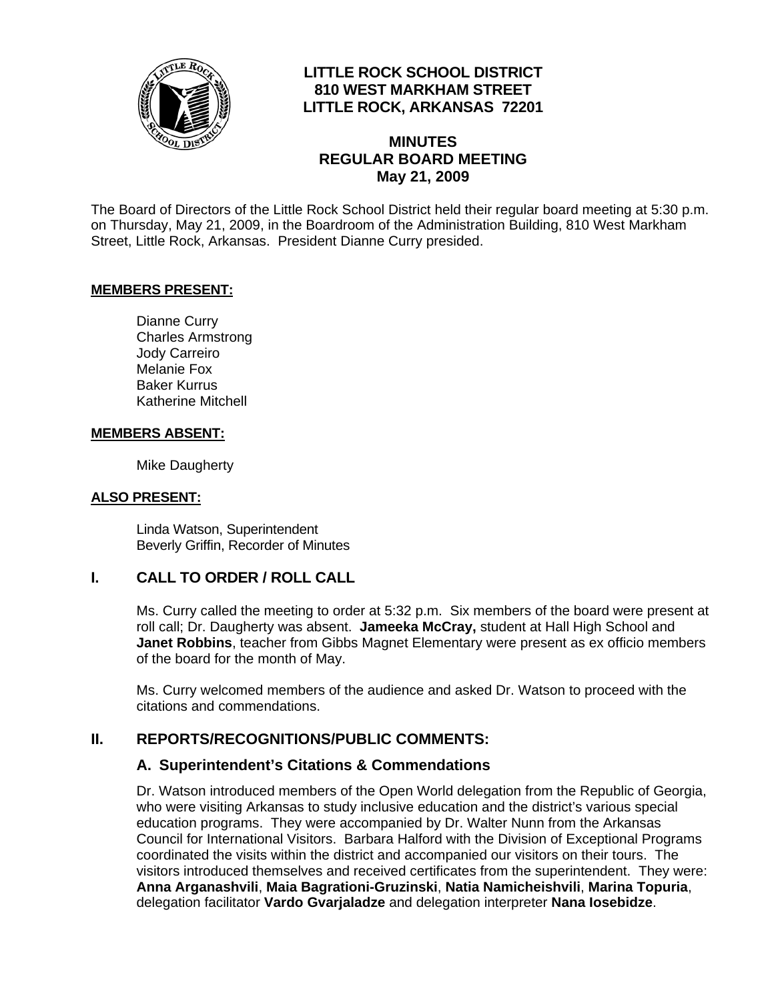

## **LITTLE ROCK SCHOOL DISTRICT 810 WEST MARKHAM STREET LITTLE ROCK, ARKANSAS 72201**

## **MINUTES REGULAR BOARD MEETING May 21, 2009**

The Board of Directors of the Little Rock School District held their regular board meeting at 5:30 p.m. on Thursday, May 21, 2009, in the Boardroom of the Administration Building, 810 West Markham Street, Little Rock, Arkansas. President Dianne Curry presided.

### **MEMBERS PRESENT:**

Dianne Curry Charles Armstrong Jody Carreiro Melanie Fox Baker Kurrus Katherine Mitchell

#### **MEMBERS ABSENT:**

Mike Daugherty

#### **ALSO PRESENT:**

 Linda Watson, Superintendent Beverly Griffin, Recorder of Minutes

### **I. CALL TO ORDER / ROLL CALL**

Ms. Curry called the meeting to order at 5:32 p.m. Six members of the board were present at roll call; Dr. Daugherty was absent. **Jameeka McCray,** student at Hall High School and **Janet Robbins**, teacher from Gibbs Magnet Elementary were present as ex officio members of the board for the month of May.

Ms. Curry welcomed members of the audience and asked Dr. Watson to proceed with the citations and commendations.

## **II. REPORTS/RECOGNITIONS/PUBLIC COMMENTS:**

### **A. Superintendent's Citations & Commendations**

Dr. Watson introduced members of the Open World delegation from the Republic of Georgia, who were visiting Arkansas to study inclusive education and the district's various special education programs. They were accompanied by Dr. Walter Nunn from the Arkansas Council for International Visitors. Barbara Halford with the Division of Exceptional Programs coordinated the visits within the district and accompanied our visitors on their tours. The visitors introduced themselves and received certificates from the superintendent. They were: **Anna Arganashvili**, **Maia Bagrationi-Gruzinski**, **Natia Namicheishvili**, **Marina Topuria**, delegation facilitator **Vardo Gvarjaladze** and delegation interpreter **Nana Iosebidze**.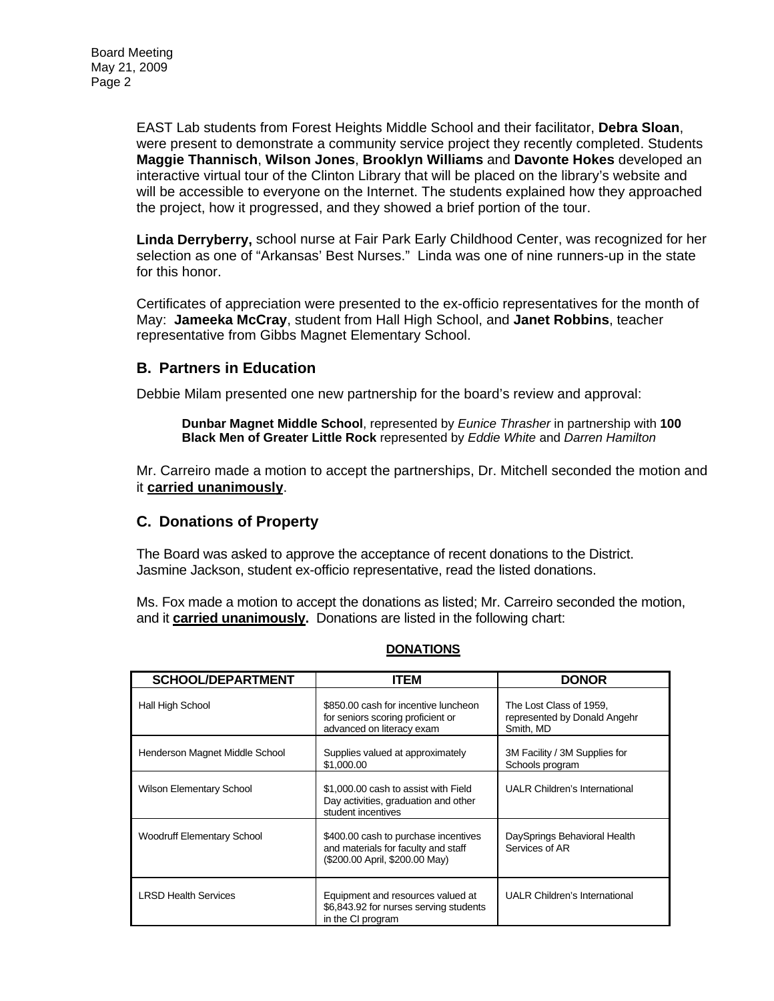EAST Lab students from Forest Heights Middle School and their facilitator, **Debra Sloan**, were present to demonstrate a community service project they recently completed. Students **Maggie Thannisch**, **Wilson Jones**, **Brooklyn Williams** and **Davonte Hokes** developed an interactive virtual tour of the Clinton Library that will be placed on the library's website and will be accessible to everyone on the Internet. The students explained how they approached the project, how it progressed, and they showed a brief portion of the tour.

**Linda Derryberry,** school nurse at Fair Park Early Childhood Center, was recognized for her selection as one of "Arkansas' Best Nurses." Linda was one of nine runners-up in the state for this honor.

Certificates of appreciation were presented to the ex-officio representatives for the month of May: **Jameeka McCray**, student from Hall High School, and **Janet Robbins**, teacher representative from Gibbs Magnet Elementary School.

## **B. Partners in Education**

Debbie Milam presented one new partnership for the board's review and approval:

**Dunbar Magnet Middle School**, represented by *Eunice Thrasher* in partnership with **100 Black Men of Greater Little Rock** represented by *Eddie White* and *Darren Hamilton*

Mr. Carreiro made a motion to accept the partnerships, Dr. Mitchell seconded the motion and it **carried unanimously**.

### **C. Donations of Property**

The Board was asked to approve the acceptance of recent donations to the District. Jasmine Jackson, student ex-officio representative, read the listed donations.

Ms. Fox made a motion to accept the donations as listed; Mr. Carreiro seconded the motion, and it **carried unanimously.** Donations are listed in the following chart:

| <b>SCHOOL/DEPARTMENT</b>          | <b>ITEM</b>                                                                                                   | <b>DONOR</b>                                                         |
|-----------------------------------|---------------------------------------------------------------------------------------------------------------|----------------------------------------------------------------------|
| Hall High School                  | \$850.00 cash for incentive luncheon<br>for seniors scoring proficient or<br>advanced on literacy exam        | The Lost Class of 1959,<br>represented by Donald Angehr<br>Smith, MD |
| Henderson Magnet Middle School    | Supplies valued at approximately<br>\$1,000.00                                                                | 3M Facility / 3M Supplies for<br>Schools program                     |
| <b>Wilson Elementary School</b>   | \$1,000,00 cash to assist with Field<br>Day activities, graduation and other<br>student incentives            | <b>UALR Children's International</b>                                 |
| <b>Woodruff Elementary School</b> | \$400.00 cash to purchase incentives<br>and materials for faculty and staff<br>(\$200.00 April, \$200.00 May) | DaySprings Behavioral Health<br>Services of AR                       |
| <b>LRSD Health Services</b>       | Equipment and resources valued at<br>\$6,843.92 for nurses serving students<br>in the CI program              | <b>UALR Children's International</b>                                 |

### **DONATIONS**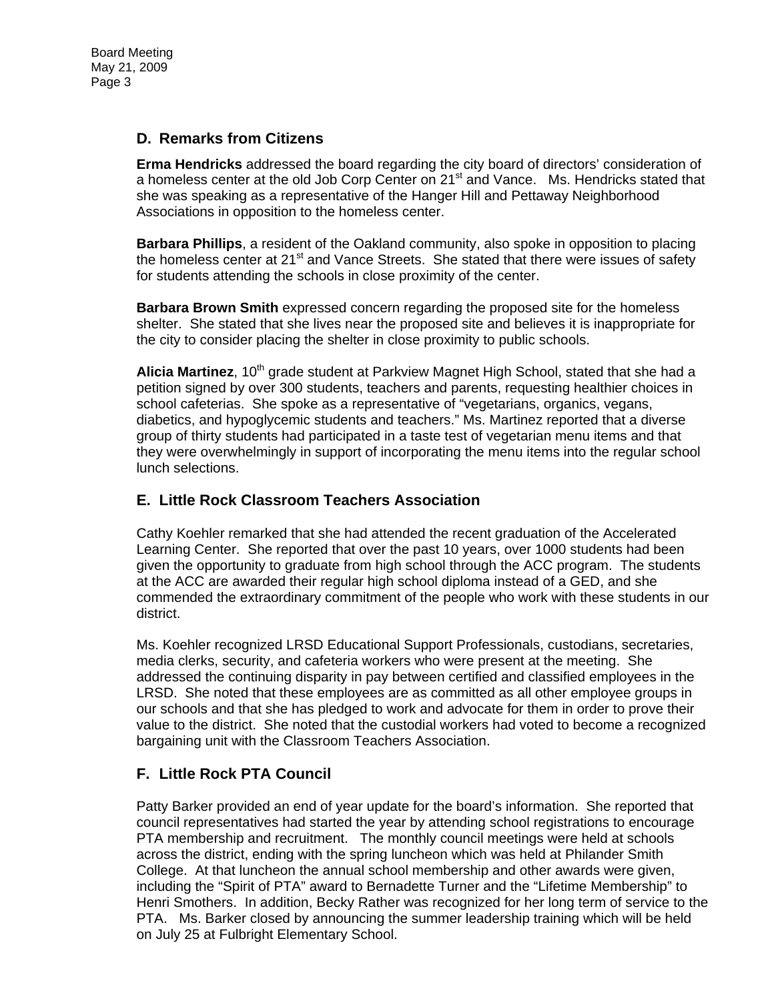Board Meeting May 21, 2009 Page 3

## **D. Remarks from Citizens**

**Erma Hendricks** addressed the board regarding the city board of directors' consideration of a homeless center at the old Job Corp Center on 21<sup>st</sup> and Vance. Ms. Hendricks stated that she was speaking as a representative of the Hanger Hill and Pettaway Neighborhood Associations in opposition to the homeless center.

**Barbara Phillips**, a resident of the Oakland community, also spoke in opposition to placing the homeless center at 21<sup>st</sup> and Vance Streets. She stated that there were issues of safety for students attending the schools in close proximity of the center.

**Barbara Brown Smith** expressed concern regarding the proposed site for the homeless shelter. She stated that she lives near the proposed site and believes it is inappropriate for the city to consider placing the shelter in close proximity to public schools.

**Alicia Martinez**, 10<sup>th</sup> grade student at Parkview Magnet High School, stated that she had a petition signed by over 300 students, teachers and parents, requesting healthier choices in school cafeterias. She spoke as a representative of "vegetarians, organics, vegans, diabetics, and hypoglycemic students and teachers." Ms. Martinez reported that a diverse group of thirty students had participated in a taste test of vegetarian menu items and that they were overwhelmingly in support of incorporating the menu items into the regular school lunch selections.

### **E. Little Rock Classroom Teachers Association**

Cathy Koehler remarked that she had attended the recent graduation of the Accelerated Learning Center. She reported that over the past 10 years, over 1000 students had been given the opportunity to graduate from high school through the ACC program. The students at the ACC are awarded their regular high school diploma instead of a GED, and she commended the extraordinary commitment of the people who work with these students in our district.

Ms. Koehler recognized LRSD Educational Support Professionals, custodians, secretaries, media clerks, security, and cafeteria workers who were present at the meeting. She addressed the continuing disparity in pay between certified and classified employees in the LRSD. She noted that these employees are as committed as all other employee groups in our schools and that she has pledged to work and advocate for them in order to prove their value to the district. She noted that the custodial workers had voted to become a recognized bargaining unit with the Classroom Teachers Association.

## **F. Little Rock PTA Council**

Patty Barker provided an end of year update for the board's information. She reported that council representatives had started the year by attending school registrations to encourage PTA membership and recruitment. The monthly council meetings were held at schools across the district, ending with the spring luncheon which was held at Philander Smith College. At that luncheon the annual school membership and other awards were given, including the "Spirit of PTA" award to Bernadette Turner and the "Lifetime Membership" to Henri Smothers. In addition, Becky Rather was recognized for her long term of service to the PTA. Ms. Barker closed by announcing the summer leadership training which will be held on July 25 at Fulbright Elementary School.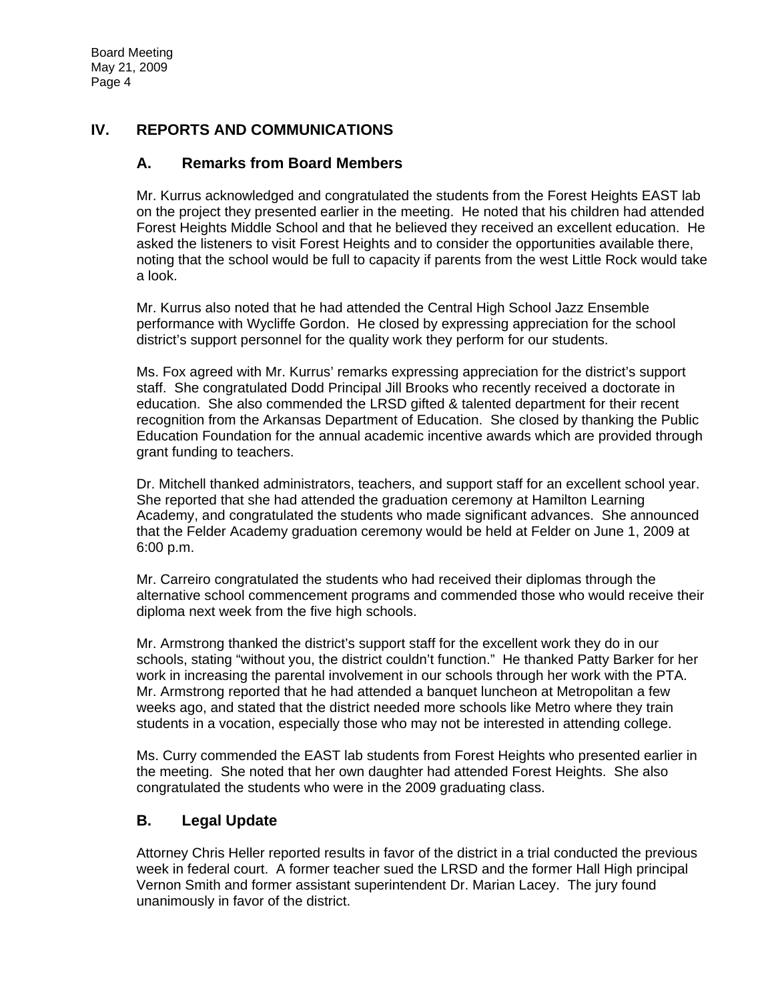# **IV. REPORTS AND COMMUNICATIONS**

## **A. Remarks from Board Members**

Mr. Kurrus acknowledged and congratulated the students from the Forest Heights EAST lab on the project they presented earlier in the meeting. He noted that his children had attended Forest Heights Middle School and that he believed they received an excellent education. He asked the listeners to visit Forest Heights and to consider the opportunities available there, noting that the school would be full to capacity if parents from the west Little Rock would take a look.

Mr. Kurrus also noted that he had attended the Central High School Jazz Ensemble performance with Wycliffe Gordon. He closed by expressing appreciation for the school district's support personnel for the quality work they perform for our students.

Ms. Fox agreed with Mr. Kurrus' remarks expressing appreciation for the district's support staff. She congratulated Dodd Principal Jill Brooks who recently received a doctorate in education. She also commended the LRSD gifted & talented department for their recent recognition from the Arkansas Department of Education. She closed by thanking the Public Education Foundation for the annual academic incentive awards which are provided through grant funding to teachers.

Dr. Mitchell thanked administrators, teachers, and support staff for an excellent school year. She reported that she had attended the graduation ceremony at Hamilton Learning Academy, and congratulated the students who made significant advances. She announced that the Felder Academy graduation ceremony would be held at Felder on June 1, 2009 at 6:00 p.m.

Mr. Carreiro congratulated the students who had received their diplomas through the alternative school commencement programs and commended those who would receive their diploma next week from the five high schools.

Mr. Armstrong thanked the district's support staff for the excellent work they do in our schools, stating "without you, the district couldn't function." He thanked Patty Barker for her work in increasing the parental involvement in our schools through her work with the PTA. Mr. Armstrong reported that he had attended a banquet luncheon at Metropolitan a few weeks ago, and stated that the district needed more schools like Metro where they train students in a vocation, especially those who may not be interested in attending college.

Ms. Curry commended the EAST lab students from Forest Heights who presented earlier in the meeting. She noted that her own daughter had attended Forest Heights. She also congratulated the students who were in the 2009 graduating class.

# **B. Legal Update**

Attorney Chris Heller reported results in favor of the district in a trial conducted the previous week in federal court. A former teacher sued the LRSD and the former Hall High principal Vernon Smith and former assistant superintendent Dr. Marian Lacey. The jury found unanimously in favor of the district.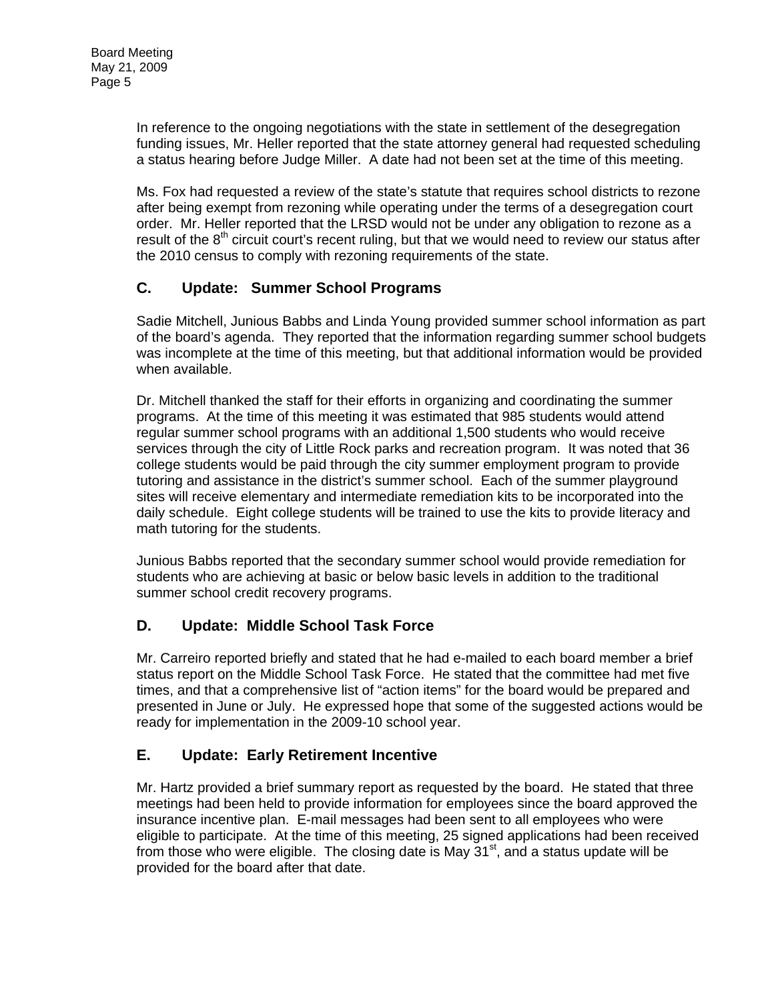In reference to the ongoing negotiations with the state in settlement of the desegregation funding issues, Mr. Heller reported that the state attorney general had requested scheduling a status hearing before Judge Miller. A date had not been set at the time of this meeting.

Ms. Fox had requested a review of the state's statute that requires school districts to rezone after being exempt from rezoning while operating under the terms of a desegregation court order. Mr. Heller reported that the LRSD would not be under any obligation to rezone as a result of the  $8<sup>th</sup>$  circuit court's recent ruling, but that we would need to review our status after the 2010 census to comply with rezoning requirements of the state.

# **C. Update: Summer School Programs**

Sadie Mitchell, Junious Babbs and Linda Young provided summer school information as part of the board's agenda. They reported that the information regarding summer school budgets was incomplete at the time of this meeting, but that additional information would be provided when available.

Dr. Mitchell thanked the staff for their efforts in organizing and coordinating the summer programs. At the time of this meeting it was estimated that 985 students would attend regular summer school programs with an additional 1,500 students who would receive services through the city of Little Rock parks and recreation program. It was noted that 36 college students would be paid through the city summer employment program to provide tutoring and assistance in the district's summer school. Each of the summer playground sites will receive elementary and intermediate remediation kits to be incorporated into the daily schedule. Eight college students will be trained to use the kits to provide literacy and math tutoring for the students.

Junious Babbs reported that the secondary summer school would provide remediation for students who are achieving at basic or below basic levels in addition to the traditional summer school credit recovery programs.

# **D. Update: Middle School Task Force**

Mr. Carreiro reported briefly and stated that he had e-mailed to each board member a brief status report on the Middle School Task Force. He stated that the committee had met five times, and that a comprehensive list of "action items" for the board would be prepared and presented in June or July. He expressed hope that some of the suggested actions would be ready for implementation in the 2009-10 school year.

# **E. Update: Early Retirement Incentive**

Mr. Hartz provided a brief summary report as requested by the board. He stated that three meetings had been held to provide information for employees since the board approved the insurance incentive plan. E-mail messages had been sent to all employees who were eligible to participate. At the time of this meeting, 25 signed applications had been received from those who were eligible. The closing date is May  $31<sup>st</sup>$ , and a status update will be provided for the board after that date.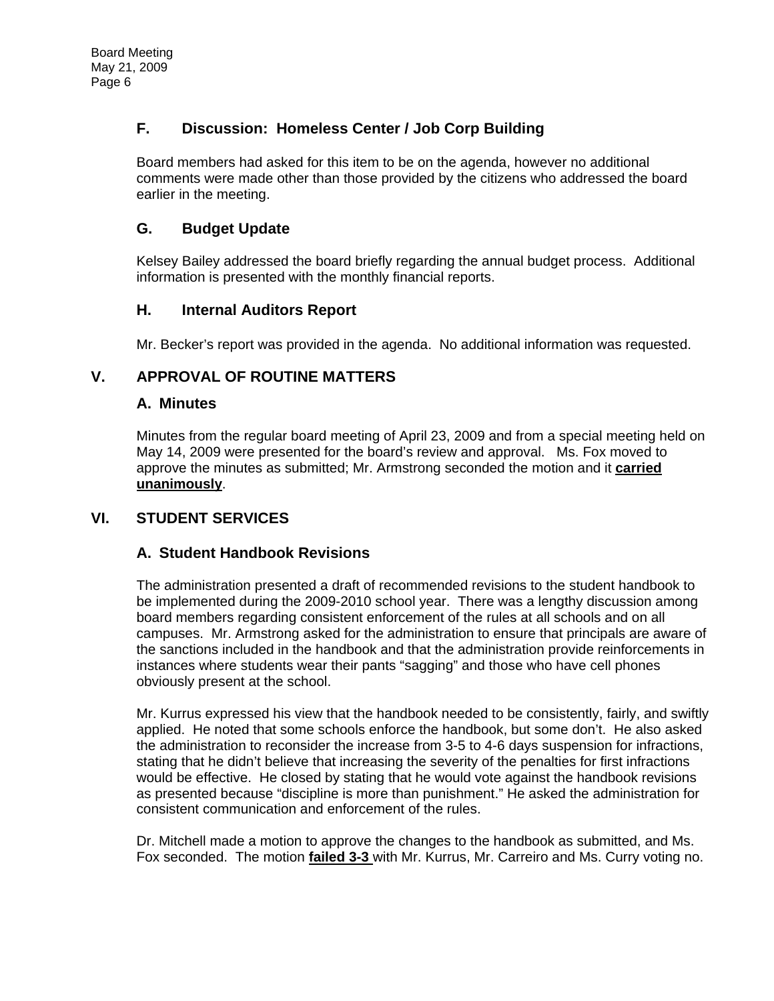## **F. Discussion: Homeless Center / Job Corp Building**

Board members had asked for this item to be on the agenda, however no additional comments were made other than those provided by the citizens who addressed the board earlier in the meeting.

## **G. Budget Update**

Kelsey Bailey addressed the board briefly regarding the annual budget process. Additional information is presented with the monthly financial reports.

## **H. Internal Auditors Report**

Mr. Becker's report was provided in the agenda. No additional information was requested.

## **V. APPROVAL OF ROUTINE MATTERS**

### **A. Minutes**

Minutes from the regular board meeting of April 23, 2009 and from a special meeting held on May 14, 2009 were presented for the board's review and approval. Ms. Fox moved to approve the minutes as submitted; Mr. Armstrong seconded the motion and it **carried unanimously**.

# **VI. STUDENT SERVICES**

## **A. Student Handbook Revisions**

The administration presented a draft of recommended revisions to the student handbook to be implemented during the 2009-2010 school year. There was a lengthy discussion among board members regarding consistent enforcement of the rules at all schools and on all campuses. Mr. Armstrong asked for the administration to ensure that principals are aware of the sanctions included in the handbook and that the administration provide reinforcements in instances where students wear their pants "sagging" and those who have cell phones obviously present at the school.

Mr. Kurrus expressed his view that the handbook needed to be consistently, fairly, and swiftly applied. He noted that some schools enforce the handbook, but some don't. He also asked the administration to reconsider the increase from 3-5 to 4-6 days suspension for infractions, stating that he didn't believe that increasing the severity of the penalties for first infractions would be effective. He closed by stating that he would vote against the handbook revisions as presented because "discipline is more than punishment." He asked the administration for consistent communication and enforcement of the rules.

Dr. Mitchell made a motion to approve the changes to the handbook as submitted, and Ms. Fox seconded. The motion **failed 3-3** with Mr. Kurrus, Mr. Carreiro and Ms. Curry voting no.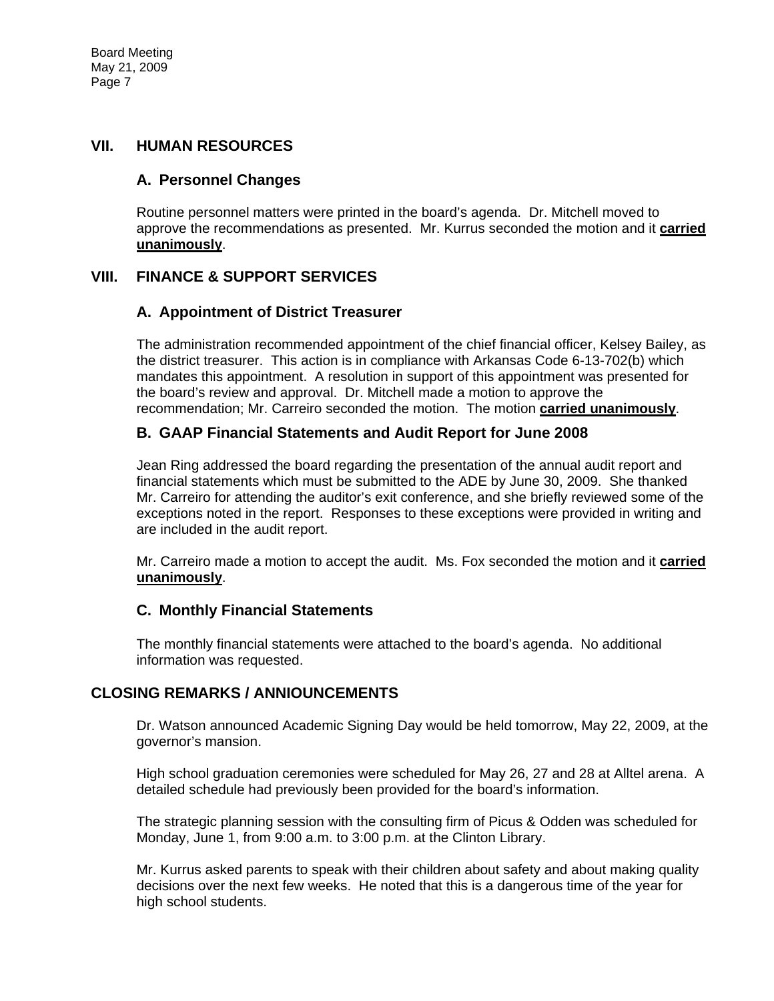Board Meeting May 21, 2009 Page 7

### **VII. HUMAN RESOURCES**

### **A. Personnel Changes**

Routine personnel matters were printed in the board's agenda. Dr. Mitchell moved to approve the recommendations as presented. Mr. Kurrus seconded the motion and it **carried unanimously**.

### **VIII. FINANCE & SUPPORT SERVICES**

### **A. Appointment of District Treasurer**

The administration recommended appointment of the chief financial officer, Kelsey Bailey, as the district treasurer. This action is in compliance with Arkansas Code 6-13-702(b) which mandates this appointment. A resolution in support of this appointment was presented for the board's review and approval. Dr. Mitchell made a motion to approve the recommendation; Mr. Carreiro seconded the motion. The motion **carried unanimously**.

### **B. GAAP Financial Statements and Audit Report for June 2008**

Jean Ring addressed the board regarding the presentation of the annual audit report and financial statements which must be submitted to the ADE by June 30, 2009. She thanked Mr. Carreiro for attending the auditor's exit conference, and she briefly reviewed some of the exceptions noted in the report. Responses to these exceptions were provided in writing and are included in the audit report.

Mr. Carreiro made a motion to accept the audit. Ms. Fox seconded the motion and it **carried unanimously**.

### **C. Monthly Financial Statements**

The monthly financial statements were attached to the board's agenda. No additional information was requested.

## **CLOSING REMARKS / ANNIOUNCEMENTS**

Dr. Watson announced Academic Signing Day would be held tomorrow, May 22, 2009, at the governor's mansion.

High school graduation ceremonies were scheduled for May 26, 27 and 28 at Alltel arena. A detailed schedule had previously been provided for the board's information.

The strategic planning session with the consulting firm of Picus & Odden was scheduled for Monday, June 1, from 9:00 a.m. to 3:00 p.m. at the Clinton Library.

Mr. Kurrus asked parents to speak with their children about safety and about making quality decisions over the next few weeks. He noted that this is a dangerous time of the year for high school students.